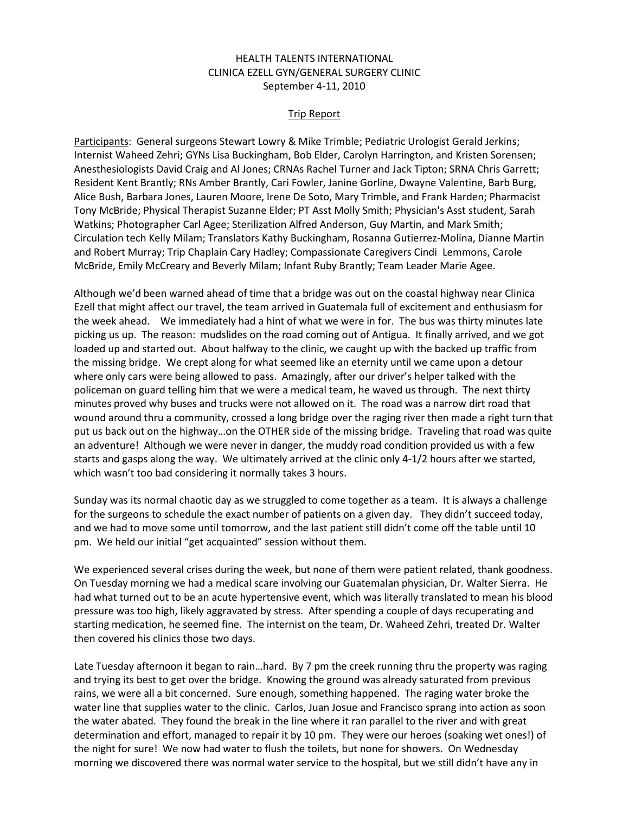## HEALTH TALENTS INTERNATIONAL CLINICA EZELL GYN/GENERAL SURGERY CLINIC September 4-11, 2010

## Trip Report

Participants: General surgeons Stewart Lowry & Mike Trimble; Pediatric Urologist Gerald Jerkins; Internist Waheed Zehri; GYNs Lisa Buckingham, Bob Elder, Carolyn Harrington, and Kristen Sorensen; Anesthesiologists David Craig and Al Jones; CRNAs Rachel Turner and Jack Tipton; SRNA Chris Garrett; Resident Kent Brantly; RNs Amber Brantly, Cari Fowler, Janine Gorline, Dwayne Valentine, Barb Burg, Alice Bush, Barbara Jones, Lauren Moore, Irene De Soto, Mary Trimble, and Frank Harden; Pharmacist Tony McBride; Physical Therapist Suzanne Elder; PT Asst Molly Smith; Physician's Asst student, Sarah Watkins; Photographer Carl Agee; Sterilization Alfred Anderson, Guy Martin, and Mark Smith; Circulation tech Kelly Milam; Translators Kathy Buckingham, Rosanna Gutierrez-Molina, Dianne Martin and Robert Murray; Trip Chaplain Cary Hadley; Compassionate Caregivers Cindi Lemmons, Carole McBride, Emily McCreary and Beverly Milam; Infant Ruby Brantly; Team Leader Marie Agee.

Although we'd been warned ahead of time that a bridge was out on the coastal highway near Clinica Ezell that might affect our travel, the team arrived in Guatemala full of excitement and enthusiasm for the week ahead. We immediately had a hint of what we were in for. The bus was thirty minutes late picking us up. The reason: mudslides on the road coming out of Antigua. It finally arrived, and we got loaded up and started out. About halfway to the clinic, we caught up with the backed up traffic from the missing bridge. We crept along for what seemed like an eternity until we came upon a detour where only cars were being allowed to pass. Amazingly, after our driver's helper talked with the policeman on guard telling him that we were a medical team, he waved us through. The next thirty minutes proved why buses and trucks were not allowed on it. The road was a narrow dirt road that wound around thru a community, crossed a long bridge over the raging river then made a right turn that put us back out on the highway…on the OTHER side of the missing bridge. Traveling that road was quite an adventure! Although we were never in danger, the muddy road condition provided us with a few starts and gasps along the way. We ultimately arrived at the clinic only 4-1/2 hours after we started, which wasn't too bad considering it normally takes 3 hours.

Sunday was its normal chaotic day as we struggled to come together as a team. It is always a challenge for the surgeons to schedule the exact number of patients on a given day. They didn't succeed today, and we had to move some until tomorrow, and the last patient still didn't come off the table until 10 pm. We held our initial "get acquainted" session without them.

We experienced several crises during the week, but none of them were patient related, thank goodness. On Tuesday morning we had a medical scare involving our Guatemalan physician, Dr. Walter Sierra. He had what turned out to be an acute hypertensive event, which was literally translated to mean his blood pressure was too high, likely aggravated by stress. After spending a couple of days recuperating and starting medication, he seemed fine. The internist on the team, Dr. Waheed Zehri, treated Dr. Walter then covered his clinics those two days.

Late Tuesday afternoon it began to rain…hard. By 7 pm the creek running thru the property was raging and trying its best to get over the bridge. Knowing the ground was already saturated from previous rains, we were all a bit concerned. Sure enough, something happened. The raging water broke the water line that supplies water to the clinic. Carlos, Juan Josue and Francisco sprang into action as soon the water abated. They found the break in the line where it ran parallel to the river and with great determination and effort, managed to repair it by 10 pm. They were our heroes (soaking wet ones!) of the night for sure! We now had water to flush the toilets, but none for showers. On Wednesday morning we discovered there was normal water service to the hospital, but we still didn't have any in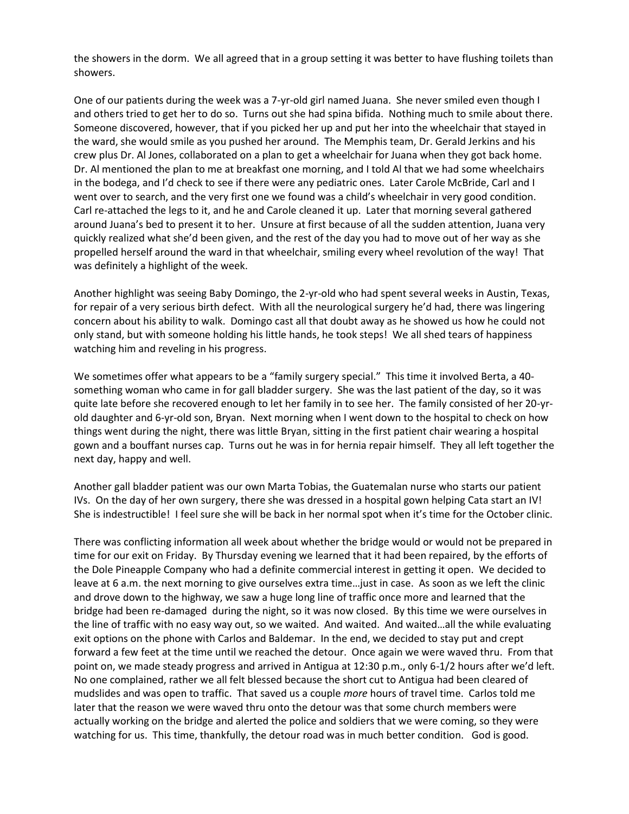the showers in the dorm. We all agreed that in a group setting it was better to have flushing toilets than showers.

One of our patients during the week was a 7-yr-old girl named Juana. She never smiled even though I and others tried to get her to do so. Turns out she had spina bifida. Nothing much to smile about there. Someone discovered, however, that if you picked her up and put her into the wheelchair that stayed in the ward, she would smile as you pushed her around. The Memphis team, Dr. Gerald Jerkins and his crew plus Dr. Al Jones, collaborated on a plan to get a wheelchair for Juana when they got back home. Dr. Al mentioned the plan to me at breakfast one morning, and I told Al that we had some wheelchairs in the bodega, and I'd check to see if there were any pediatric ones. Later Carole McBride, Carl and I went over to search, and the very first one we found was a child's wheelchair in very good condition. Carl re-attached the legs to it, and he and Carole cleaned it up. Later that morning several gathered around Juana's bed to present it to her. Unsure at first because of all the sudden attention, Juana very quickly realized what she'd been given, and the rest of the day you had to move out of her way as she propelled herself around the ward in that wheelchair, smiling every wheel revolution of the way! That was definitely a highlight of the week.

Another highlight was seeing Baby Domingo, the 2-yr-old who had spent several weeks in Austin, Texas, for repair of a very serious birth defect. With all the neurological surgery he'd had, there was lingering concern about his ability to walk. Domingo cast all that doubt away as he showed us how he could not only stand, but with someone holding his little hands, he took steps! We all shed tears of happiness watching him and reveling in his progress.

We sometimes offer what appears to be a "family surgery special." This time it involved Berta, a 40something woman who came in for gall bladder surgery. She was the last patient of the day, so it was quite late before she recovered enough to let her family in to see her. The family consisted of her 20-yrold daughter and 6-yr-old son, Bryan. Next morning when I went down to the hospital to check on how things went during the night, there was little Bryan, sitting in the first patient chair wearing a hospital gown and a bouffant nurses cap. Turns out he was in for hernia repair himself. They all left together the next day, happy and well.

Another gall bladder patient was our own Marta Tobias, the Guatemalan nurse who starts our patient IVs. On the day of her own surgery, there she was dressed in a hospital gown helping Cata start an IV! She is indestructible! I feel sure she will be back in her normal spot when it's time for the October clinic.

There was conflicting information all week about whether the bridge would or would not be prepared in time for our exit on Friday. By Thursday evening we learned that it had been repaired, by the efforts of the Dole Pineapple Company who had a definite commercial interest in getting it open. We decided to leave at 6 a.m. the next morning to give ourselves extra time…just in case. As soon as we left the clinic and drove down to the highway, we saw a huge long line of traffic once more and learned that the bridge had been re-damaged during the night, so it was now closed. By this time we were ourselves in the line of traffic with no easy way out, so we waited. And waited. And waited…all the while evaluating exit options on the phone with Carlos and Baldemar. In the end, we decided to stay put and crept forward a few feet at the time until we reached the detour. Once again we were waved thru. From that point on, we made steady progress and arrived in Antigua at 12:30 p.m., only 6-1/2 hours after we'd left. No one complained, rather we all felt blessed because the short cut to Antigua had been cleared of mudslides and was open to traffic. That saved us a couple *more* hours of travel time. Carlos told me later that the reason we were waved thru onto the detour was that some church members were actually working on the bridge and alerted the police and soldiers that we were coming, so they were watching for us. This time, thankfully, the detour road was in much better condition. God is good.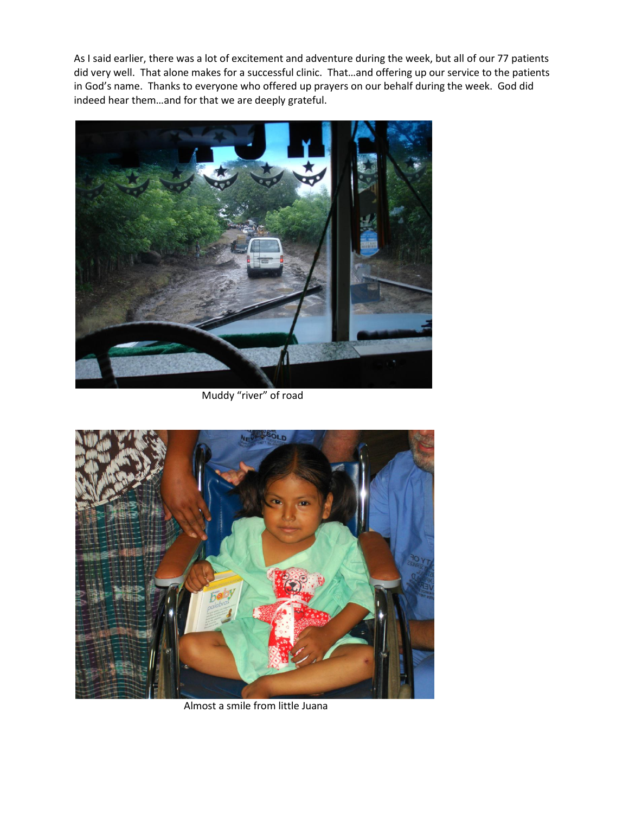As I said earlier, there was a lot of excitement and adventure during the week, but all of our 77 patients did very well. That alone makes for a successful clinic. That…and offering up our service to the patients in God's name. Thanks to everyone who offered up prayers on our behalf during the week. God did indeed hear them…and for that we are deeply grateful.



Muddy "river" of road



Almost a smile from little Juana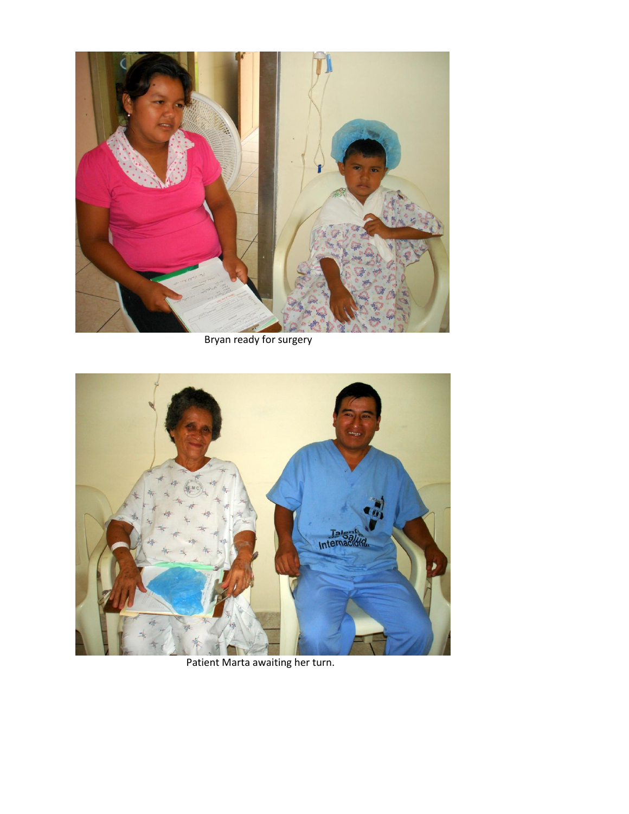

Bryan ready for surgery



Patient Marta awaiting her turn.